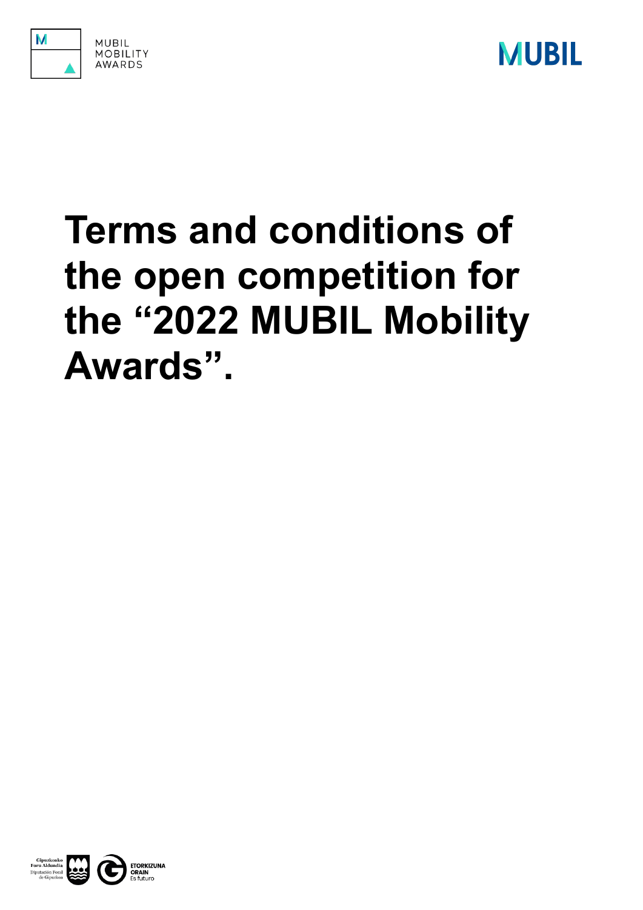



# **Terms and conditions of the open competition for the "2022 MUBIL Mobility Awards".**

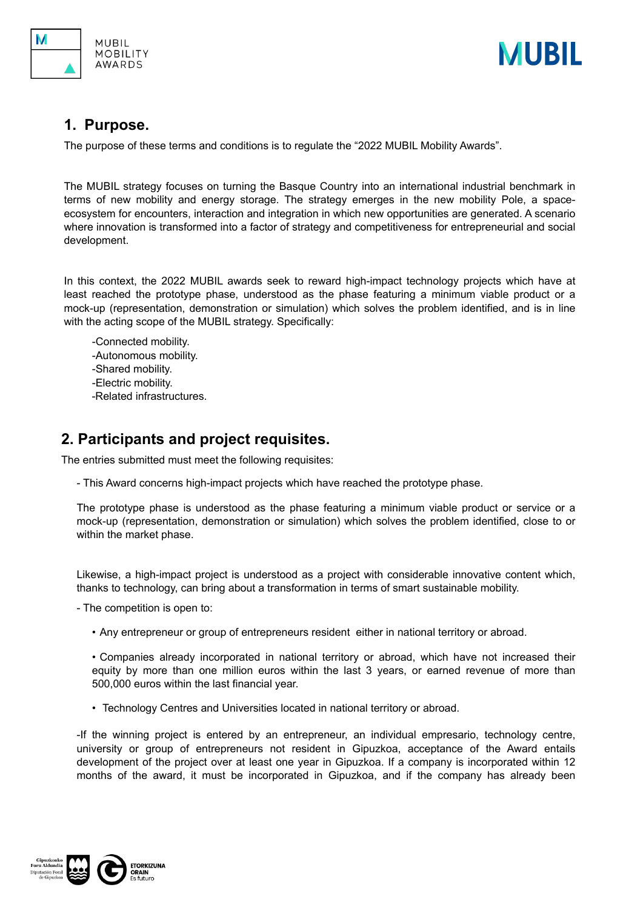



### **1. Purpose.**

The purpose of these terms and conditions is to regulate the "2022 MUBIL Mobility Awards".

The MUBIL strategy focuses on turning the Basque Country into an international industrial benchmark in terms of new mobility and energy storage. The strategy emerges in the new mobility Pole, a spaceecosystem for encounters, interaction and integration in which new opportunities are generated. A scenario where innovation is transformed into a factor of strategy and competitiveness for entrepreneurial and social development.

In this context, the 2022 MUBIL awards seek to reward high-impact technology projects which have at least reached the prototype phase, understood as the phase featuring a minimum viable product or a mock-up (representation, demonstration or simulation) which solves the problem identified, and is in line with the acting scope of the MUBIL strategy. Specifically:

-Connected mobility. -Autonomous mobility. -Shared mobility. -Electric mobility. -Related infrastructures.

# **2. Participants and project requisites.**

The entries submitted must meet the following requisites:

- This Award concerns high-impact projects which have reached the prototype phase.

The prototype phase is understood as the phase featuring a minimum viable product or service or a mock-up (representation, demonstration or simulation) which solves the problem identified, close to or within the market phase.

Likewise, a high-impact project is understood as a project with considerable innovative content which, thanks to technology, can bring about a transformation in terms of smart sustainable mobility.

- The competition is open to:

• Any entrepreneur or group of entrepreneurs resident either in national territory or abroad.

• Companies already incorporated in national territory or abroad, which have not increased their equity by more than one million euros within the last 3 years, or earned revenue of more than 500,000 euros within the last financial year.

• Technology Centres and Universities located in national territory or abroad.

-If the winning project is entered by an entrepreneur, an individual empresario, technology centre, university or group of entrepreneurs not resident in Gipuzkoa, acceptance of the Award entails development of the project over at least one year in Gipuzkoa. If a company is incorporated within 12 months of the award, it must be incorporated in Gipuzkoa, and if the company has already been

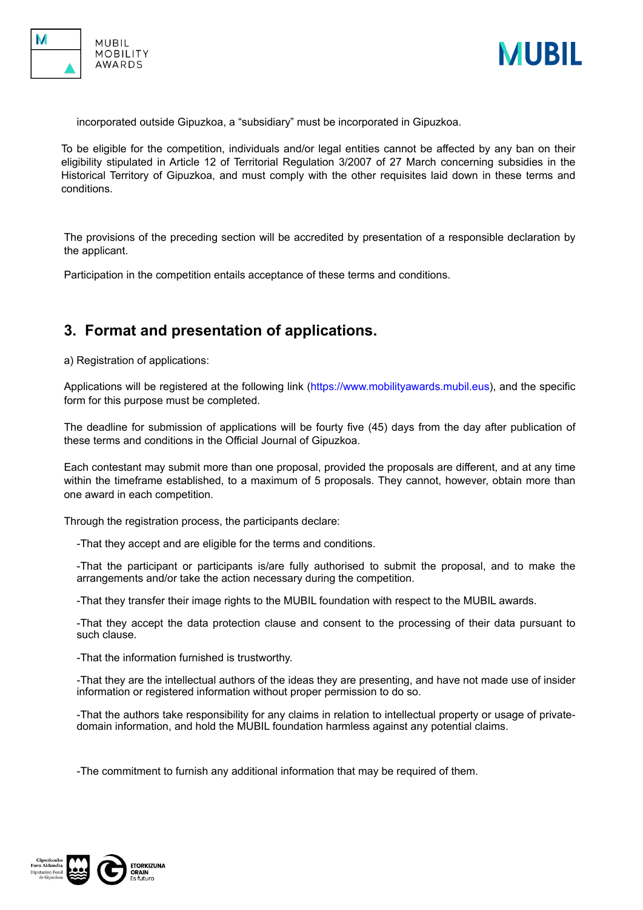



incorporated outside Gipuzkoa, a "subsidiary" must be incorporated in Gipuzkoa.

To be eligible for the competition, individuals and/or legal entities cannot be affected by any ban on their eligibility stipulated in Article 12 of Territorial Regulation 3/2007 of 27 March concerning subsidies in the Historical Territory of Gipuzkoa, and must comply with the other requisites laid down in these terms and conditions.

The provisions of the preceding section will be accredited by presentation of a responsible declaration by the applicant.

Participation in the competition entails acceptance of these terms and conditions.

# **3. Format and presentation of applications.**

a) Registration of applications:

Applications will be registered at the following link (<https://www.mobilityawards.mubil.eus>), and the specific form for this purpose must be completed.

The deadline for submission of applications will be fourty five (45) days from the day after publication of these terms and conditions in the Official Journal of Gipuzkoa.

Each contestant may submit more than one proposal, provided the proposals are different, and at any time within the timeframe established, to a maximum of 5 proposals. They cannot, however, obtain more than one award in each competition.

Through the registration process, the participants declare:

-That they accept and are eligible for the terms and conditions.

-That the participant or participants is/are fully authorised to submit the proposal, and to make the arrangements and/or take the action necessary during the competition.

-That they transfer their image rights to the MUBIL foundation with respect to the MUBIL awards.

-That they accept the data protection clause and consent to the processing of their data pursuant to such clause.

-That the information furnished is trustworthy.

-That they are the intellectual authors of the ideas they are presenting, and have not made use of insider information or registered information without proper permission to do so.

-That the authors take responsibility for any claims in relation to intellectual property or usage of privatedomain information, and hold the MUBIL foundation harmless against any potential claims.

-The commitment to furnish any additional information that may be required of them.

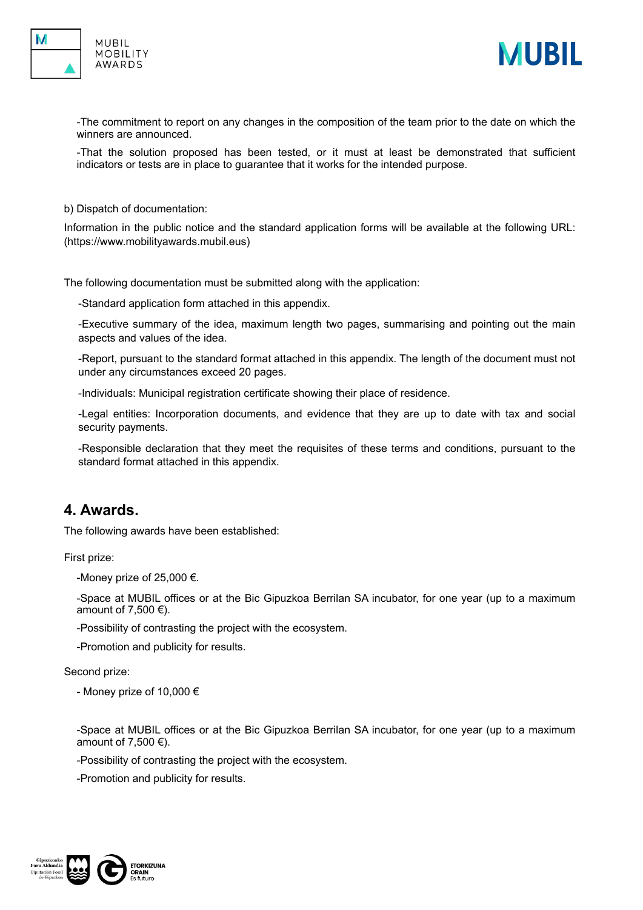



-The commitment to report on any changes in the composition of the team prior to the date on which the winners are announced.

-That the solution proposed has been tested, or it must at least be demonstrated that sufficient indicators or tests are in place to guarantee that it works for the intended purpose.

b) Dispatch of documentation:

Information in the public notice and the standard application forms will be available at the following URL: (<https://www.mobilityawards.mubil.eus>)

The following documentation must be submitted along with the application:

-Standard application form attached in this appendix.

-Executive summary of the idea, maximum length two pages, summarising and pointing out the main aspects and values of the idea.

-Report, pursuant to the standard format attached in this appendix. The length of the document must not under any circumstances exceed 20 pages.

-Individuals: Municipal registration certificate showing their place of residence.

-Legal entities: Incorporation documents, and evidence that they are up to date with tax and social security payments.

-Responsible declaration that they meet the requisites of these terms and conditions, pursuant to the standard format attached in this appendix.

#### **4. Awards.**

The following awards have been established:

First prize:

-Money prize of 25,000  $\epsilon$ .

-Space at MUBIL offices or at the Bic Gipuzkoa Berrilan SA incubator, for one year (up to a maximum amount of 7,500  $\epsilon$ ).

-Possibility of contrasting the project with the ecosystem.

-Promotion and publicity for results.

Second prize:

- Money prize of 10,000 €

-Space at MUBIL offices or at the Bic Gipuzkoa Berrilan SA incubator, for one year (up to a maximum amount of 7,500  $\epsilon$ ).

-Possibility of contrasting the project with the ecosystem.

-Promotion and publicity for results.

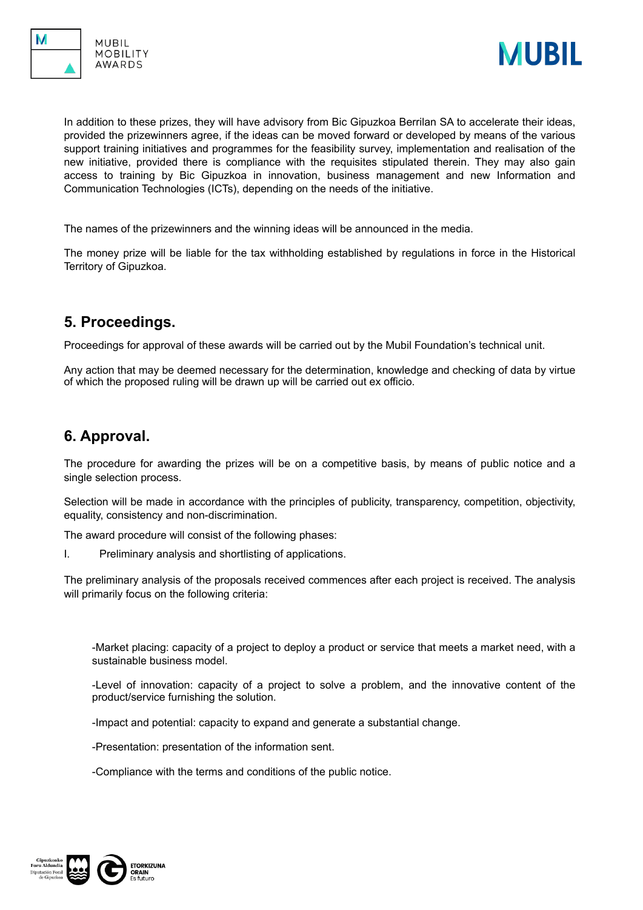





In addition to these prizes, they will have advisory from Bic Gipuzkoa Berrilan SA to accelerate their ideas, provided the prizewinners agree, if the ideas can be moved forward or developed by means of the various support training initiatives and programmes for the feasibility survey, implementation and realisation of the new initiative, provided there is compliance with the requisites stipulated therein. They may also gain access to training by Bic Gipuzkoa in innovation, business management and new Information and Communication Technologies (ICTs), depending on the needs of the initiative.

The names of the prizewinners and the winning ideas will be announced in the media.

The money prize will be liable for the tax withholding established by regulations in force in the Historical Territory of Gipuzkoa.

# **5. Proceedings.**

Proceedings for approval of these awards will be carried out by the Mubil Foundation's technical unit.

Any action that may be deemed necessary for the determination, knowledge and checking of data by virtue of which the proposed ruling will be drawn up will be carried out ex officio.

# **6. Approval.**

The procedure for awarding the prizes will be on a competitive basis, by means of public notice and a single selection process.

Selection will be made in accordance with the principles of publicity, transparency, competition, objectivity, equality, consistency and non-discrimination.

The award procedure will consist of the following phases:

I. Preliminary analysis and shortlisting of applications.

The preliminary analysis of the proposals received commences after each project is received. The analysis will primarily focus on the following criteria:

-Market placing: capacity of a project to deploy a product or service that meets a market need, with a sustainable business model.

-Level of innovation: capacity of a project to solve a problem, and the innovative content of the product/service furnishing the solution.

-Impact and potential: capacity to expand and generate a substantial change.

-Presentation: presentation of the information sent.

-Compliance with the terms and conditions of the public notice.

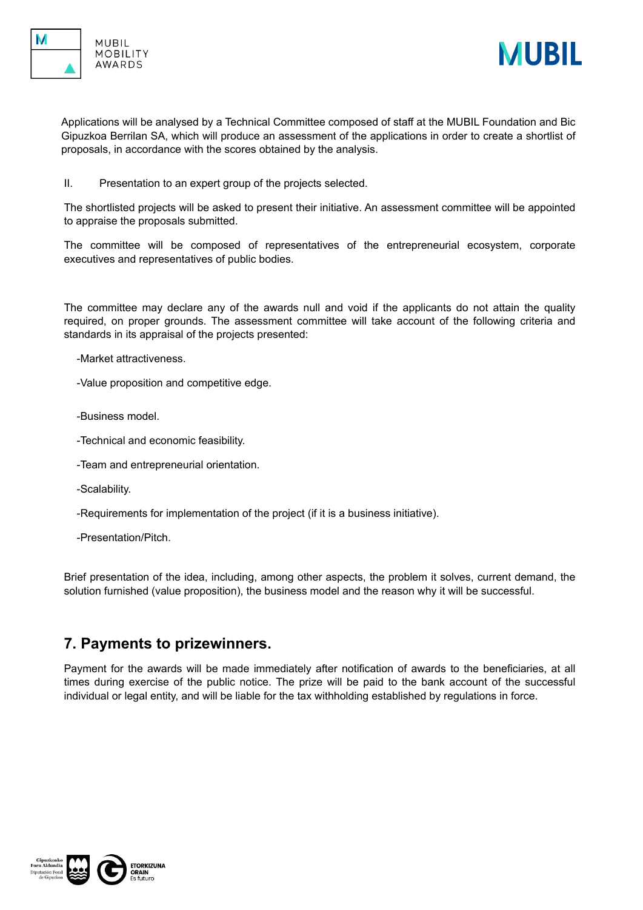





Applications will be analysed by a Technical Committee composed of staff at the MUBIL Foundation and Bic Gipuzkoa Berrilan SA, which will produce an assessment of the applications in order to create a shortlist of proposals, in accordance with the scores obtained by the analysis.

II. Presentation to an expert group of the projects selected.

The shortlisted projects will be asked to present their initiative. An assessment committee will be appointed to appraise the proposals submitted.

The committee will be composed of representatives of the entrepreneurial ecosystem, corporate executives and representatives of public bodies.

The committee may declare any of the awards null and void if the applicants do not attain the quality required, on proper grounds. The assessment committee will take account of the following criteria and standards in its appraisal of the projects presented:

- -Market attractiveness.
- -Value proposition and competitive edge.
- -Business model.
- -Technical and economic feasibility.
- -Team and entrepreneurial orientation.
- -Scalability.
- -Requirements for implementation of the project (if it is a business initiative).
- -Presentation/Pitch.

Brief presentation of the idea, including, among other aspects, the problem it solves, current demand, the solution furnished (value proposition), the business model and the reason why it will be successful.

#### **7. Payments to prizewinners.**

Payment for the awards will be made immediately after notification of awards to the beneficiaries, at all times during exercise of the public notice. The prize will be paid to the bank account of the successful individual or legal entity, and will be liable for the tax withholding established by regulations in force.

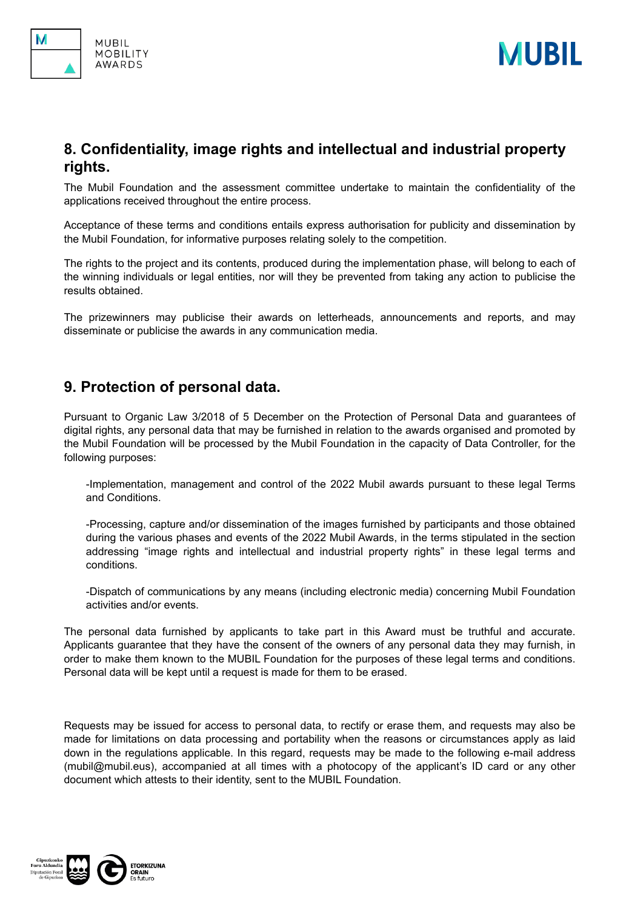

# **8. Confidentiality, image rights and intellectual and industrial property rights.**

The Mubil Foundation and the assessment committee undertake to maintain the confidentiality of the applications received throughout the entire process.

Acceptance of these terms and conditions entails express authorisation for publicity and dissemination by the Mubil Foundation, for informative purposes relating solely to the competition.

The rights to the project and its contents, produced during the implementation phase, will belong to each of the winning individuals or legal entities, nor will they be prevented from taking any action to publicise the results obtained.

The prizewinners may publicise their awards on letterheads, announcements and reports, and may disseminate or publicise the awards in any communication media.

#### **9. Protection of personal data.**

Pursuant to Organic Law 3/2018 of 5 December on the Protection of Personal Data and guarantees of digital rights, any personal data that may be furnished in relation to the awards organised and promoted by the Mubil Foundation will be processed by the Mubil Foundation in the capacity of Data Controller, for the following purposes:

-Implementation, management and control of the 2022 Mubil awards pursuant to these legal Terms and Conditions.

-Processing, capture and/or dissemination of the images furnished by participants and those obtained during the various phases and events of the 2022 Mubil Awards, in the terms stipulated in the section addressing "image rights and intellectual and industrial property rights" in these legal terms and conditions.

-Dispatch of communications by any means (including electronic media) concerning Mubil Foundation activities and/or events.

The personal data furnished by applicants to take part in this Award must be truthful and accurate. Applicants guarantee that they have the consent of the owners of any personal data they may furnish, in order to make them known to the MUBIL Foundation for the purposes of these legal terms and conditions. Personal data will be kept until a request is made for them to be erased.

Requests may be issued for access to personal data, to rectify or erase them, and requests may also be made for limitations on data processing and portability when the reasons or circumstances apply as laid down in the regulations applicable. In this regard, requests may be made to the following e-mail address (mubil@mubil.eus), accompanied at all times with a photocopy of the applicant's ID card or any other document which attests to their identity, sent to the MUBIL Foundation.



**MUBIL** 

**MOBILITY AWARDS**